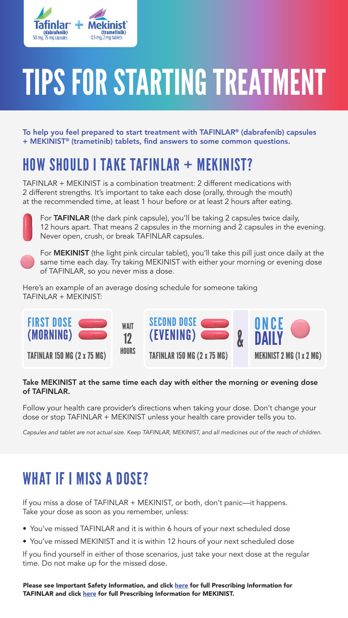

# TIPS FOR STARTING TREATMENT

To help you feel prepared to start treatment with TAFINLAR® (dabrafenib) capsules + MEKINIST® (trametinib) tablets, find answers to some common questions.

#### HOW SHOULD I TAKE TAFINLAR + MEKINIST?

TAFINLAR + MEKINIST is a combination treatment: 2 different medications with 2 different strengths. It's important to take each dose (orally, through the mouth) at the recommended time, at least 1 hour before or at least 2 hours after eating.



For TAFINLAR (the dark pink capsule), you'll be taking 2 capsules twice daily, 12 hours apart. That means 2 capsules in the morning and 2 capsules in the evening. Never open, crush, or break TAFINLAR capsules.

For **MEKINIST** (the light pink circular tablet), you'll take this pill just once daily at the same time each day. Try taking MEKINIST with either your morning or evening dose of TAFINLAR, so you never miss a dose.

Here's an example of an average dosing schedule for someone taking TAFINLAR + MEKINIST:



#### Take MEKINIST at the same time each day with either the morning or evening dose of TAFINLAR.

Follow your health care provider's directions when taking your dose. Don't change your dose or stop TAFINLAR + MEKINIST unless your health care provider tells you to.

*Capsules and tablet are not actual size. Keep TAFINLAR, MEKINIST, and all medicines out of the reach of children.*

#### WHAT IF I MISS A DOSE?

If you miss a dose of TAFINLAR + MEKINIST, or both, don't panic—it happens. Take your dose as soon as you remember, unless:

- You've missed TAFINLAR and it is within 6 hours of your next scheduled dose
- You've missed MEKINIST and it is within 12 hours of your next scheduled dose

If you find yourself in either of those scenarios, just take your next dose at the regular time. Do not make up for the missed dose.

Please see Important Safety Information, and click [here](https://www.novartis.us/sites/www.novartis.us/files/tafinlar.pdf) for full Prescribing Information for TAFINLAR and click [here](https://www.novartis.us/sites/www.novartis.us/files/mekinist.pdf) for full Prescribing Information for MEKINIST.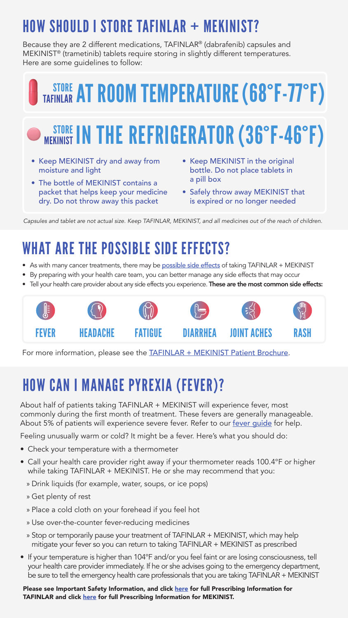### HOW SHOULD I STORE TAFINLAR + MEKINIST?

Because they are 2 different medications, TAFINLAR® (dabrafenib) capsules and MEKINIST® (trametinib) tablets require storing in slightly different temperatures. Here are some guidelines to follow:

## **TAFINLAR AT ROOM TEMPERATURE (68°F-77°F)**

## **STORE IN THE REFRIGERATOR (36°F-46°F)**

- Keep MEKINIST dry and away from moisture and light
- The bottle of MEKINIST contains a packet that helps keep your medicine dry. Do not throw away this packet
- Keep MEKINIST in the original bottle. Do not place tablets in a pill box
- Safely throw away MEKINIST that is expired or no longer needed

*Capsules and tablet are not actual size. Keep TAFINLAR, MEKINIST, and all medicines out of the reach of children.*

### WHAT ARE THE POSSIBLE SIDE FFFFCTS?

- As with many cancer treatments, there may be [possible side effects](https://www.us.tafinlarmekinist.com/advanced-melanoma/side-effects/understanding-side-effects/) of taking TAFINLAR + MEKINIST
- By preparing with your health care team, you can better manage any side effects that may occur
- Tell your health care provider about any side effects you experience. These are the most common side effects:



For more information, please see the **[TAFINLAR + MEKINIST Patient Brochure](https://www.us.tafinlarmekinist.com/siteassets/pdf/tafinlar-mekinist-advanced-melanoma-patient-brochure.pdf)**.

### HOW CAN I MANAGE PYREXIA (FEVER)?

About half of patients taking TAFINLAR + MEKINIST will experience fever, most commonly during the first month of treatment. These fevers are generally manageable. About 5% of patients will experience severe fever. Refer to our [fever guide](https://www.us.tafinlarmekinist.com/globalassets/migration-root/products.com/tafmek/products.com/tafinlarmekinist/advanced-melanoma/patient-support/patient-resources/tafinlar-mekinist-fever-management-tool.pdf) for help.

Feeling unusually warm or cold? It might be a fever. Here's what you should do:

- Check your temperature with a thermometer
- Call your health care provider right away if your thermometer reads 100.4°F or higher while taking TAFINLAR + MEKINIST. He or she may recommend that you:
	- » Drink liquids (for example, water, soups, or ice pops)
	- » Get plenty of rest
	- » Place a cold cloth on your forehead if you feel hot
	- » Use over-the-counter fever-reducing medicines
	- » Stop or temporarily pause your treatment of TAFINLAR + MEKINIST, which may help mitigate your fever so you can return to taking TAFINLAR + MEKINIST as prescribed
- If your temperature is higher than 104°F and/or you feel faint or are losing consciousness, tell your health care provider immediately. If he or she advises going to the emergency department, be sure to tell the emergency health care professionals that you are taking TAFINLAR + MEKINIST

Please see Important Safety Information, and click [here](https://www.novartis.us/sites/www.novartis.us/files/tafinlar.pdf) for full Prescribing Information for TAFINLAR and click [here](https://www.novartis.us/sites/www.novartis.us/files/mekinist.pdf) for full Prescribing Information for MEKINIST.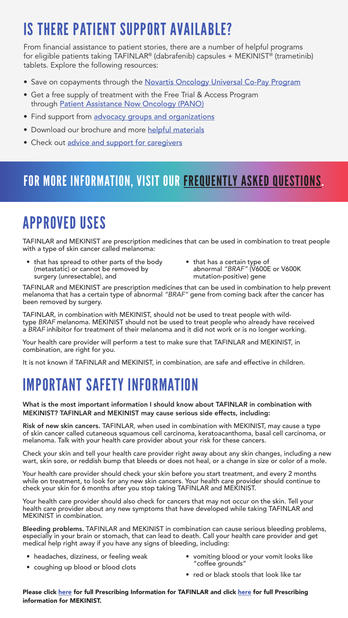### IS THERE PATIENT SUPPORT AVAILABLE?

From financial assistance to patient stories, there are a number of helpful programs for eligible patients taking TAFINLAR® (dabrafenib) capsules + MEKINIST® (trametinib) tablets. Explore the following resources:

- Save on copayments through the [Novartis Oncology Universal Co-Pay Program](https://www.copay.novartisoncology.com/?name=tafmek)
- Get a free supply of treatment with the Free Trial & Access Program through [Patient Assistance Now Oncology \(PANO\)](https://www.patient.novartisoncology.com/)
- Find support from [advocacy groups and organizations](https://www.us.tafinlarmekinist.com/advanced-melanoma/patient-support/advocacy-support-groups/)
- Download our brochure and more [helpful materials](https://www.us.tafinlarmekinist.com/advanced-melanoma/patient-support/patient-resources/)
- Check out [advice and support for caregivers](https://www.us.tafinlarmekinist.com/advanced-melanoma/patient-support/caregiver-support/)

#### FOR MORE INFORMATION, VISIT OUR [FREQUENTLY ASKED QUESTIONS.](https://www.us.tafinlarmekinist.com/advanced-melanoma/patient-support/frequently-asked-questions/)

### APPROVED USES

TAFINLAR and MEKINIST are prescription medicines that can be used in combination to treat people with a type of skin cancer called melanoma:

- that has spread to other parts of the body (metastatic) or cannot be removed by surgery (unresectable), and
- that has a certain type of abnormal *"BRAF"* (V600E or V600K mutation-positive) gene

TAFINLAR and MEKINIST are prescription medicines that can be used in combination to help prevent melanoma that has a certain type of abnormal *"BRAF"* gene from coming back after the cancer has been removed by surgery.

TAFINLAR, in combination with MEKINIST, should not be used to treat people with wildtype *BRAF* melanoma. MEKINIST should not be used to treat people who already have received a *BRAF* inhibitor for treatment of their melanoma and it did not work or is no longer working.

Your health care provider will perform a test to make sure that TAFINLAR and MEKINIST, in combination, are right for you.

It is not known if TAFINLAR and MEKINIST, in combination, are safe and effective in children.

#### IMPORTANT SAFETY INFORMATION

What is the most important information I should know about TAFINLAR in combination with MEKINIST? TAFINLAR and MEKINIST may cause serious side effects, including:

Risk of new skin cancers. TAFINLAR, when used in combination with MEKINIST, may cause a type of skin cancer called cutaneous squamous cell carcinoma, keratoacanthoma, basal cell carcinoma, or melanoma. Talk with your health care provider about your risk for these cancers.

Check your skin and tell your health care provider right away about any skin changes, including a new wart, skin sore, or reddish bump that bleeds or does not heal, or a change in size or color of a mole.

Your health care provider should check your skin before you start treatment, and every 2 months while on treatment, to look for any new skin cancers. Your health care provider should continue to check your skin for 6 months after you stop taking TAFINLAR and MEKINIST.

Your health care provider should also check for cancers that may not occur on the skin. Tell your health care provider about any new symptoms that have developed while taking TAFINLAR and MEKINIST in combination.

Bleeding problems. TAFINLAR and MEKINIST in combination can cause serious bleeding problems, especially in your brain or stomach, that can lead to death. Call your health care provider and get medical help right away if you have any signs of bleeding, including:

- headaches, dizziness, or feeling weak
- vomiting blood or your vomit looks like "coffee grounds"
- coughing up blood or blood clots
- red or black stools that look like tar

Please click [here](https://www.novartis.us/sites/www.novartis.us/files/tafinlar.pdf) for full Prescribing Information for TAFINLAR and click [here](https://www.novartis.us/sites/www.novartis.us/files/mekinist.pdf) for full Prescribing information for MEKINIST.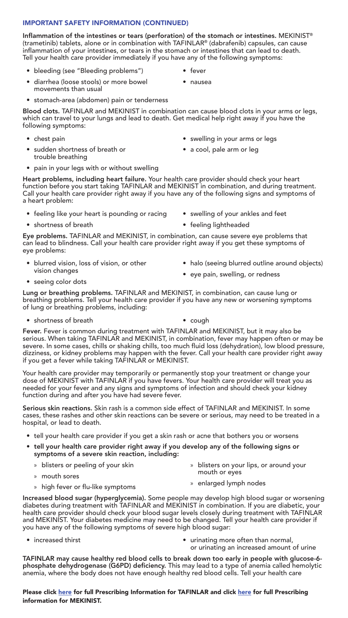#### IMPORTANT SAFETY INFORMATION (CONTINUED)

Inflammation of the intestines or tears (perforation) of the stomach or intestines. MEKINIST® (trametinib) tablets, alone or in combination with TAFINLAR® (dabrafenib) capsules, can cause inflammation of your intestines, or tears in the stomach or intestines that can lead to death. Tell your health care provider immediately if you have any of the following symptoms:

- bleeding (see "Bleeding problems")
- fever • nausea
- diarrhea (loose stools) or more bowel movements than usual
- stomach-area (abdomen) pain or tenderness

Blood clots. TAFINLAR and MEKINIST in combination can cause blood clots in your arms or legs, which can travel to your lungs and lead to death. Get medical help right away if you have the following symptoms:

- chest pain
- sudden shortness of breath or trouble breathing
- swelling in your arms or legs
- a cool, pale arm or leg
- pain in your legs with or without swelling

Heart problems, including heart failure. Your health care provider should check your heart function before you start taking TAFINLAR and MEKINIST in combination, and during treatment. Call your health care provider right away if you have any of the following signs and symptoms of a heart problem:

- feeling like your heart is pounding or racing
- shortness of breath
- swelling of your ankles and feet
- feeling lightheaded

Eye problems. TAFINLAR and MEKINIST, in combination, can cause severe eye problems that can lead to blindness. Call your health care provider right away if you get these symptoms of eye problems:

- blurred vision, loss of vision, or other vision changes
- halo (seeing blurred outline around objects)

• seeing color dots

• eye pain, swelling, or redness

Lung or breathing problems. TAFINLAR and MEKINIST, in combination, can cause lung or breathing problems. Tell your health care provider if you have any new or worsening symptoms of lung or breathing problems, including:

• shortness of breath • cough

Fever. Fever is common during treatment with TAFINLAR and MEKINIST, but it may also be serious. When taking TAFINLAR and MEKINIST, in combination, fever may happen often or may be severe. In some cases, chills or shaking chills, too much fluid loss (dehydration), low blood pressure, dizziness, or kidney problems may happen with the fever. Call your health care provider right away if you get a fever while taking TAFINLAR or MEKINIST.

Your health care provider may temporarily or permanently stop your treatment or change your dose of MEKINIST with TAFINLAR if you have fevers. Your health care provider will treat you as needed for your fever and any signs and symptoms of infection and should check your kidney function during and after you have had severe fever.

Serious skin reactions. Skin rash is a common side effect of TAFINLAR and MEKINIST. In some cases, these rashes and other skin reactions can be severe or serious, may need to be treated in a hospital, or lead to death.

- tell your health care provider if you get a skin rash or acne that bothers you or worsens
- tell your health care provider right away if you develop any of the following signs or symptoms of a severe skin reaction, including:
	- » blisters or peeling of your skin
	- » mouth sores
- » blisters on your lips, or around your mouth or eyes
- » high fever or flu-like symptoms
- » enlarged lymph nodes

Increased blood sugar (hyperglycemia). Some people may develop high blood sugar or worsening diabetes during treatment with TAFINLAR and MEKINIST in combination. If you are diabetic, your health care provider should check your blood sugar levels closely during treatment with TAFINLAR and MEKINIST. Your diabetes medicine may need to be changed. Tell your health care provider if you have any of the following symptoms of severe high blood sugar:

- 
- increased thirst urinating more often than normal, or urinating an increased amount of urine

TAFINLAR may cause healthy red blood cells to break down too early in people with glucose-6 phosphate dehydrogenase (G6PD) deficiency. This may lead to a type of anemia called hemolytic anemia, where the body does not have enough healthy red blood cells. Tell your health care

Please click [here](https://www.novartis.us/sites/www.novartis.us/files/tafinlar.pdf) for full Prescribing Information for TAFINLAR and click [here](https://www.novartis.us/sites/www.novartis.us/files/mekinist.pdf) for full Prescribing information for MEKINIST.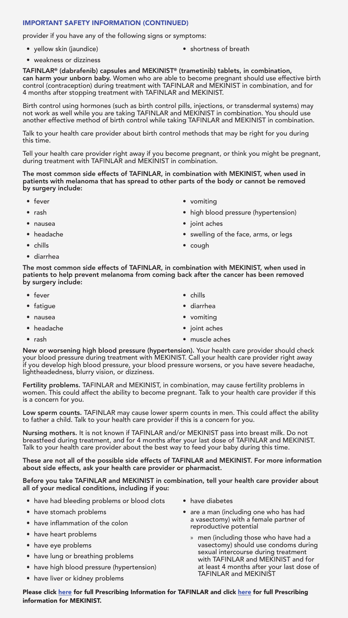#### IMPORTANT SAFETY INFORMATION (CONTINUED)

provider if you have any of the following signs or symptoms:

• yellow skin (jaundice)

• shortness of breath

• weakness or dizziness

TAFINLAR® (dabrafenib) capsules and MEKINIST® (trametinib) tablets, in combination, can harm your unborn baby. Women who are able to become pregnant should use effective birth control (contraception) during treatment with TAFINLAR and MEKINIST in combination, and for 4 months after stopping treatment with TAFINLAR and MEKINIST.

Birth control using hormones (such as birth control pills, injections, or transdermal systems) may not work as well while you are taking TAFINLAR and MEKINIST in combination. You should use another effective method of birth control while taking TAFINLAR and MEKINIST in combination.

Talk to your health care provider about birth control methods that may be right for you during this time.

Tell your health care provider right away if you become pregnant, or think you might be pregnant, during treatment with TAFINLAR and MEKINIST in combination.

The most common side effects of TAFINLAR, in combination with MEKINIST, when used in patients with melanoma that has spread to other parts of the body or cannot be removed by surgery include:

- fever
- rash
- nausea
- headache
- chills
- diarrhea
- vomiting
- high blood pressure (hypertension)
- joint aches
- swelling of the face, arms, or legs
- cough

The most common side effects of TAFINLAR, in combination with MEKINIST, when used in patients to help prevent melanoma from coming back after the cancer has been removed by surgery include:

- fever
- fatigue
- nausea
- headache
- rash
- chills
- diarrhea
- vomiting
- joint aches
- muscle aches

New or worsening high blood pressure (hypertension). Your health care provider should check your blood pressure during treatment with MEKINIST. Call your health care provider right away if you develop high blood pressure, your blood pressure worsens, or you have severe headache, lightheadedness, blurry vision, or dizziness.

Fertility problems. TAFINLAR and MEKINIST, in combination, may cause fertility problems in women. This could affect the ability to become pregnant. Talk to your health care provider if this is a concern for you.

Low sperm counts. TAFINLAR may cause lower sperm counts in men. This could affect the ability to father a child. Talk to your health care provider if this is a concern for you.

Nursing mothers. It is not known if TAFINLAR and/or MEKINIST pass into breast milk. Do not breastfeed during treatment, and for 4 months after your last dose of TAFINLAR and MEKINIST. Talk to your health care provider about the best way to feed your baby during this time.

These are not all of the possible side effects of TAFINLAR and MEKINIST. For more information about side effects, ask your health care provider or pharmacist.

Before you take TAFINLAR and MEKINIST in combination, tell your health care provider about all of your medical conditions, including if you:

- have had bleeding problems or blood clots
- have stomach problems
- have inflammation of the colon
- have heart problems
- have eye problems
- have lung or breathing problems
- have high blood pressure (hypertension)
- have liver or kidney problems
- have diabetes
- are a man (including one who has had a vasectomy) with a female partner of reproductive potential
	- » men (including those who have had a vasectomy) should use condoms during sexual intercourse during treatment with TAFINLAR and MEKINIST and for at least 4 months after your last dose of TAFINLAR and MEKINIST

Please click [here](https://www.novartis.us/sites/www.novartis.us/files/tafinlar.pdf) for full Prescribing Information for TAFINLAR and click [here](https://www.novartis.us/sites/www.novartis.us/files/mekinist.pdf) for full Prescribing information for MEKINIST.